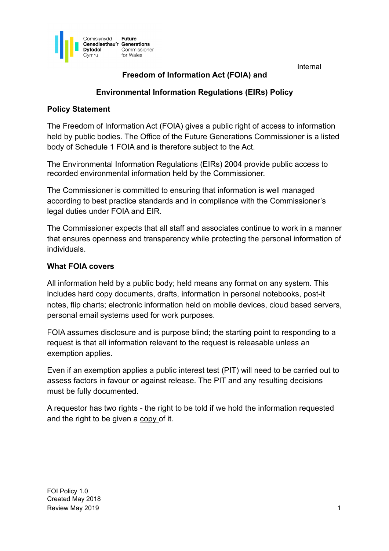

# **Freedom of Information Act (FOIA) and**

### **Environmental Information Regulations (EIRs) Policy**

#### **Policy Statement**

The Freedom of Information Act (FOIA) gives a public right of access to information held by public bodies. The Office of the Future Generations Commissioner is a listed body of Schedule 1 FOIA and is therefore subject to the Act.

The Environmental Information Regulations (EIRs) 2004 provide public access to recorded environmental information held by the Commissioner.

The Commissioner is committed to ensuring that information is well managed according to best practice standards and in compliance with the Commissioner's legal duties under FOIA and EIR.

The Commissioner expects that all staff and associates continue to work in a manner that ensures openness and transparency while protecting the personal information of individuals.

### **What FOIA covers**

All information held by a public body; held means any format on any system. This includes hard copy documents, drafts, information in personal notebooks, post-it notes, flip charts; electronic information held on mobile devices, cloud based servers, personal email systems used for work purposes.

FOIA assumes disclosure and is purpose blind; the starting point to responding to a request is that all information relevant to the request is releasable unless an exemption applies.

Even if an exemption applies a public interest test (PIT) will need to be carried out to assess factors in favour or against release. The PIT and any resulting decisions must be fully documented.

A requestor has two rights - the right to be told if we hold the information requested and the right to be given a copy of it.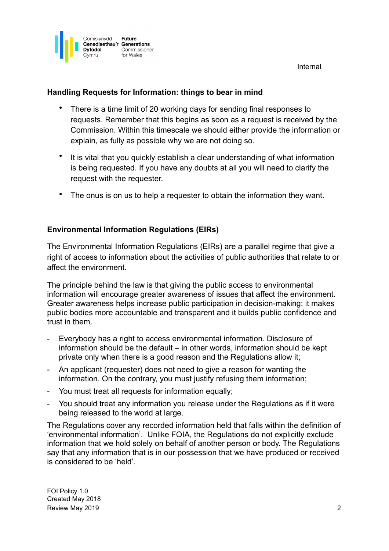

## **Handling Requests for Information: things to bear in mind**

- There is a time limit of 20 working days for sending final responses to requests. Remember that this begins as soon as a request is received by the Commission. Within this timescale we should either provide the information or explain, as fully as possible why we are not doing so.
- It is vital that you quickly establish a clear understanding of what information is being requested. If you have any doubts at all you will need to clarify the request with the requester.
- The onus is on us to help a requester to obtain the information they want.

## **Environmental Information Regulations (EIRs)**

The Environmental Information Regulations (EIRs) are a parallel regime that give a right of access to information about the activities of public authorities that relate to or affect the environment.

The principle behind the law is that giving the public access to environmental information will encourage greater awareness of issues that affect the environment. Greater awareness helps increase public participation in decision-making; it makes public bodies more accountable and transparent and it builds public confidence and trust in them.

- Everybody has a right to access environmental information. Disclosure of information should be the default – in other words, information should be kept private only when there is a good reason and the Regulations allow it;
- An applicant (requester) does not need to give a reason for wanting the information. On the contrary, you must justify refusing them information;
- You must treat all requests for information equally;
- You should treat any information you release under the Regulations as if it were being released to the world at large.

The Regulations cover any recorded information held that falls within the definition of 'environmental information'. Unlike FOIA, the Regulations do not explicitly exclude information that we hold solely on behalf of another person or body. The Regulations say that any information that is in our possession that we have produced or received is considered to be 'held'.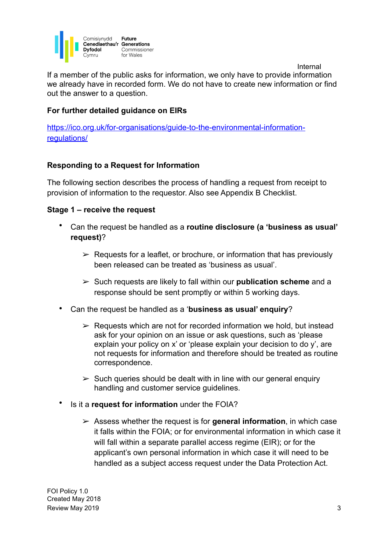

 Internal If a member of the public asks for information, we only have to provide information we already have in recorded form. We do not have to create new information or find out the answer to a question.

#### **For further detailed guidance on EIRs**

[https://ico.org.uk/for-organisations/guide-to-the-environmental-information](https://ico.org.uk/for-organisations/guide-to-the-environmental-information-regulations/)[regulations/](https://ico.org.uk/for-organisations/guide-to-the-environmental-information-regulations/)

#### **Responding to a Request for Information**

The following section describes the process of handling a request from receipt to provision of information to the requestor. Also see Appendix B Checklist.

#### **Stage 1 – receive the request**

- Can the request be handled as a **routine disclosure (a 'business as usual' request)**?
	- $\triangleright$  Requests for a leaflet, or brochure, or information that has previously been released can be treated as 'business as usual'.
	- ➢ Such requests are likely to fall within our **publication scheme** and a response should be sent promptly or within 5 working days.
- Can the request be handled as a '**business as usual' enquiry**?
	- $\triangleright$  Requests which are not for recorded information we hold, but instead ask for your opinion on an issue or ask questions, such as 'please explain your policy on x' or 'please explain your decision to do y', are not requests for information and therefore should be treated as routine correspondence.
	- $\geq$  Such queries should be dealt with in line with our general enquiry handling and customer service guidelines.
- Is it a **request for information** under the FOIA?
	- ➢ Assess whether the request is for **general information**, in which case it falls within the FOIA; or for environmental information in which case it will fall within a separate parallel access regime (EIR); or for the applicant's own personal information in which case it will need to be handled as a subject access request under the Data Protection Act.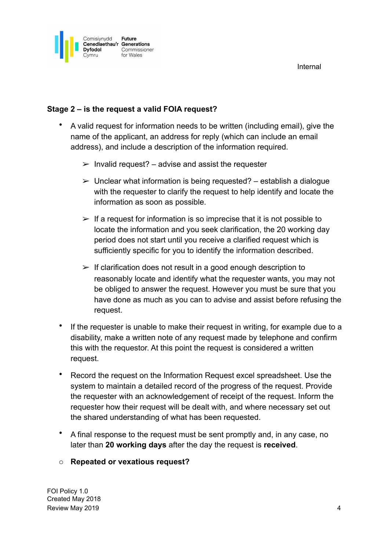

## **Stage 2 – is the request a valid FOIA request?**

- A valid request for information needs to be written (including email), give the name of the applicant, an address for reply (which can include an email address), and include a description of the information required.
	- $\triangleright$  Invalid request? advise and assist the requester
	- $\geq$  Unclear what information is being requested? establish a dialogue with the requester to clarify the request to help identify and locate the information as soon as possible.
	- $\geq$  If a request for information is so imprecise that it is not possible to locate the information and you seek clarification, the 20 working day period does not start until you receive a clarified request which is sufficiently specific for you to identify the information described.
	- $\triangleright$  If clarification does not result in a good enough description to reasonably locate and identify what the requester wants, you may not be obliged to answer the request. However you must be sure that you have done as much as you can to advise and assist before refusing the request.
- If the requester is unable to make their request in writing, for example due to a disability, make a written note of any request made by telephone and confirm this with the requestor. At this point the request is considered a written request.
- Record the request on the Information Request excel spreadsheet. Use the system to maintain a detailed record of the progress of the request. Provide the requester with an acknowledgement of receipt of the request. Inform the requester how their request will be dealt with, and where necessary set out the shared understanding of what has been requested.
- A final response to the request must be sent promptly and, in any case, no later than **20 working days** after the day the request is **received**.

#### o **Repeated or vexatious request?**

FOI Policy 1.0 Created May 2018 Review May 2019 **4 All and Structure Control** 2019 **4 4**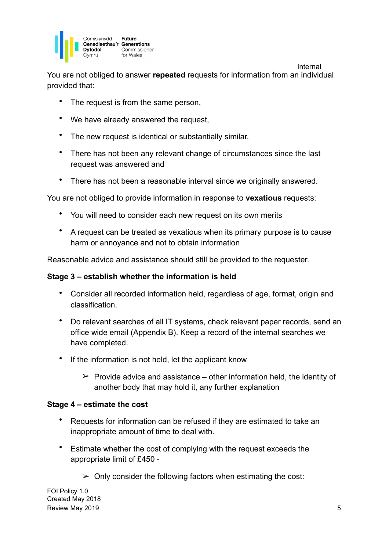

You are not obliged to answer **repeated** requests for information from an individual provided that:

- The request is from the same person,
- We have already answered the request.
- The new request is identical or substantially similar,
- There has not been any relevant change of circumstances since the last request was answered and
- There has not been a reasonable interval since we originally answered.

You are not obliged to provide information in response to **vexatious** requests:

- You will need to consider each new request on its own merits
- A request can be treated as vexatious when its primary purpose is to cause harm or annoyance and not to obtain information

Reasonable advice and assistance should still be provided to the requester.

#### **Stage 3 – establish whether the information is held**

- Consider all recorded information held, regardless of age, format, origin and classification.
- Do relevant searches of all IT systems, check relevant paper records, send an office wide email (Appendix B). Keep a record of the internal searches we have completed.
- If the information is not held, let the applicant know
	- $\triangleright$  Provide advice and assistance other information held, the identity of another body that may hold it, any further explanation

#### **Stage 4 – estimate the cost**

- Requests for information can be refused if they are estimated to take an inappropriate amount of time to deal with.
- Estimate whether the cost of complying with the request exceeds the appropriate limit of £450 -
	- $\geq$  Only consider the following factors when estimating the cost:

Internal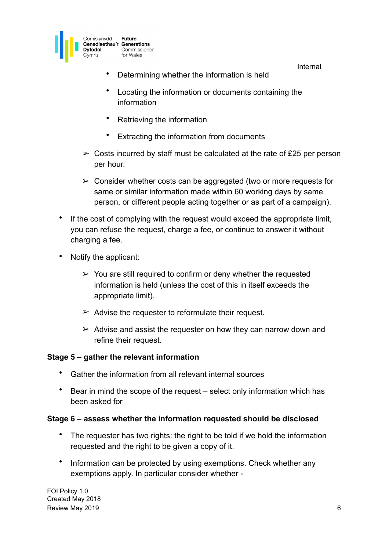

- Determining whether the information is held
- Locating the information or documents containing the information
- Retrieving the information
- Extracting the information from documents
- $\geq$  Costs incurred by staff must be calculated at the rate of £25 per person per hour.
- $\geq$  Consider whether costs can be aggregated (two or more requests for same or similar information made within 60 working days by same person, or different people acting together or as part of a campaign).
- If the cost of complying with the request would exceed the appropriate limit, you can refuse the request, charge a fee, or continue to answer it without charging a fee.
- Notify the applicant:
	- $\geq$  You are still required to confirm or deny whether the requested information is held (unless the cost of this in itself exceeds the appropriate limit).
	- $\geq$  Advise the requester to reformulate their request.
	- $\geq$  Advise and assist the requester on how they can narrow down and refine their request.

#### **Stage 5 – gather the relevant information**

- Gather the information from all relevant internal sources
- Bear in mind the scope of the request select only information which has been asked for

#### **Stage 6 – assess whether the information requested should be disclosed**

- The requester has two rights: the right to be told if we hold the information requested and the right to be given a copy of it.
- Information can be protected by using exemptions. Check whether any exemptions apply. In particular consider whether -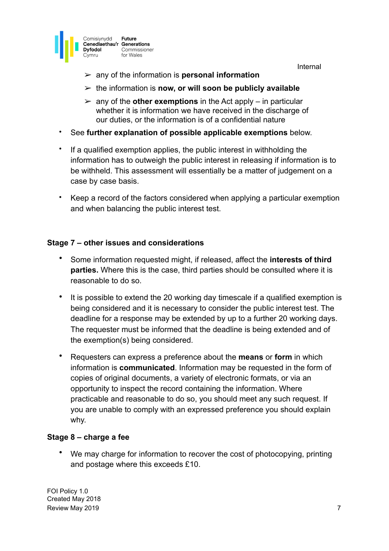



- ➢ any of the information is **personal information**
- ➢ the information is **now, or will soon be publicly available**
- $\geq$  any of the **other exemptions** in the Act apply in particular whether it is information we have received in the discharge of our duties, or the information is of a confidential nature
- See **further explanation of possible applicable exemptions** below.
- If a qualified exemption applies, the public interest in withholding the information has to outweigh the public interest in releasing if information is to be withheld. This assessment will essentially be a matter of judgement on a case by case basis.
- Keep a record of the factors considered when applying a particular exemption and when balancing the public interest test.

## **Stage 7 – other issues and considerations**

- Some information requested might, if released, affect the **interests of third parties.** Where this is the case, third parties should be consulted where it is reasonable to do so.
- It is possible to extend the 20 working day timescale if a qualified exemption is being considered and it is necessary to consider the public interest test. The deadline for a response may be extended by up to a further 20 working days. The requester must be informed that the deadline is being extended and of the exemption(s) being considered.
- Requesters can express a preference about the **means** or **form** in which information is **communicated**. Information may be requested in the form of copies of original documents, a variety of electronic formats, or via an opportunity to inspect the record containing the information. Where practicable and reasonable to do so, you should meet any such request. If you are unable to comply with an expressed preference you should explain why.

## **Stage 8 – charge a fee**

We may charge for information to recover the cost of photocopying, printing and postage where this exceeds £10.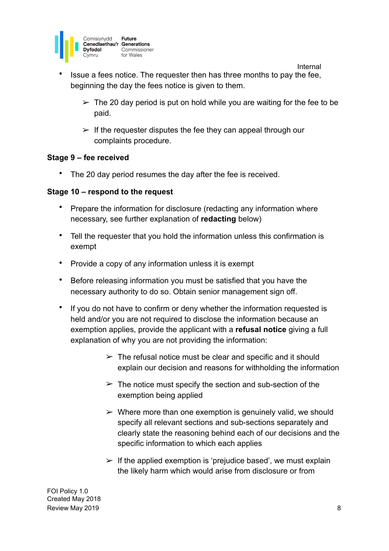

• Issue a fees notice. The requester then has three months to pay the fee, beginning the day the fees notice is given to them.

 $\geq$  The 20 day period is put on hold while you are waiting for the fee to be paid.

Internal

 $\triangleright$  If the requester disputes the fee they can appeal through our complaints procedure.

#### **Stage 9 – fee received**

• The 20 day period resumes the day after the fee is received.

#### **Stage 10 – respond to the request**

- Prepare the information for disclosure (redacting any information where necessary, see further explanation of **redacting** below)
- Tell the requester that you hold the information unless this confirmation is exempt
- Provide a copy of any information unless it is exempt
- Before releasing information you must be satisfied that you have the necessary authority to do so. Obtain senior management sign off.
- If you do not have to confirm or deny whether the information requested is held and/or you are not required to disclose the information because an exemption applies, provide the applicant with a **refusal notice** giving a full explanation of why you are not providing the information:
	- $\geq$  The refusal notice must be clear and specific and it should explain our decision and reasons for withholding the information
	- $\geq$  The notice must specify the section and sub-section of the exemption being applied
	- $\triangleright$  Where more than one exemption is genuinely valid, we should specify all relevant sections and sub-sections separately and clearly state the reasoning behind each of our decisions and the specific information to which each applies
	- $\geq$  If the applied exemption is 'prejudice based', we must explain the likely harm which would arise from disclosure or from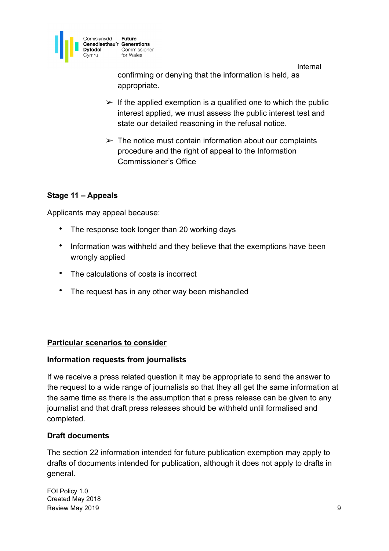

 Internal confirming or denying that the information is held, as appropriate.

- $\triangleright$  If the applied exemption is a qualified one to which the public interest applied, we must assess the public interest test and state our detailed reasoning in the refusal notice.
- $\geq$  The notice must contain information about our complaints procedure and the right of appeal to the Information Commissioner's Office

## **Stage 11 – Appeals**

Applicants may appeal because:

- The response took longer than 20 working days
- Information was withheld and they believe that the exemptions have been wrongly applied
- The calculations of costs is incorrect
- The request has in any other way been mishandled

#### **Particular scenarios to consider**

#### **Information requests from journalists**

If we receive a press related question it may be appropriate to send the answer to the request to a wide range of journalists so that they all get the same information at the same time as there is the assumption that a press release can be given to any journalist and that draft press releases should be withheld until formalised and completed.

#### **Draft documents**

The section 22 information intended for future publication exemption may apply to drafts of documents intended for publication, although it does not apply to drafts in general.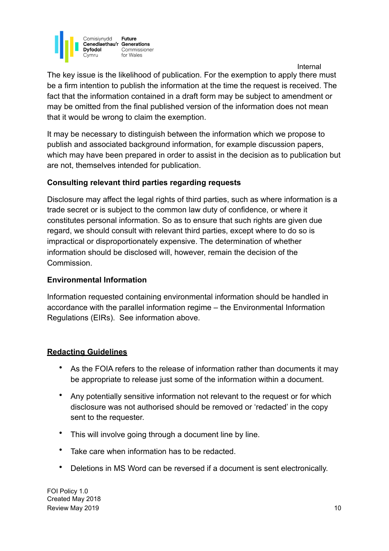

 Internal The key issue is the likelihood of publication. For the exemption to apply there must be a firm intention to publish the information at the time the request is received. The fact that the information contained in a draft form may be subject to amendment or may be omitted from the final published version of the information does not mean that it would be wrong to claim the exemption.

It may be necessary to distinguish between the information which we propose to publish and associated background information, for example discussion papers, which may have been prepared in order to assist in the decision as to publication but are not, themselves intended for publication.

### **Consulting relevant third parties regarding requests**

Disclosure may affect the legal rights of third parties, such as where information is a trade secret or is subject to the common law duty of confidence, or where it constitutes personal information. So as to ensure that such rights are given due regard, we should consult with relevant third parties, except where to do so is impractical or disproportionately expensive. The determination of whether information should be disclosed will, however, remain the decision of the Commission.

#### **Environmental Information**

Information requested containing environmental information should be handled in accordance with the parallel information regime – the Environmental Information Regulations (EIRs). See information above.

#### **Redacting Guidelines**

- As the FOIA refers to the release of information rather than documents it may be appropriate to release just some of the information within a document.
- Any potentially sensitive information not relevant to the request or for which disclosure was not authorised should be removed or 'redacted' in the copy sent to the requester.
- This will involve going through a document line by line.
- Take care when information has to be redacted.
- Deletions in MS Word can be reversed if a document is sent electronically.

FOI Policy 1.0 Created May 2018 Review May 2019 10 and the state of the state of the state of the state of the state of the state of the state of the state of the state of the state of the state of the state of the state of the state of the state of the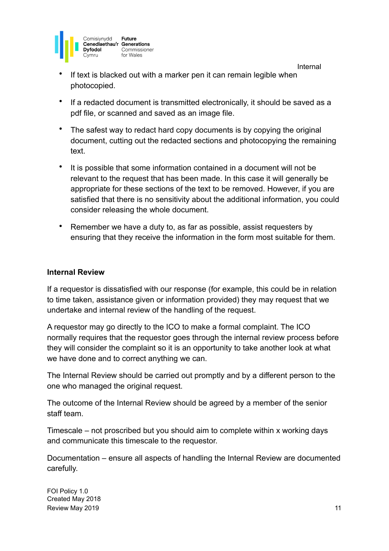

- If text is blacked out with a marker pen it can remain legible when photocopied.
- If a redacted document is transmitted electronically, it should be saved as a pdf file, or scanned and saved as an image file.
- The safest way to redact hard copy documents is by copying the original document, cutting out the redacted sections and photocopying the remaining text.
- It is possible that some information contained in a document will not be relevant to the request that has been made. In this case it will generally be appropriate for these sections of the text to be removed. However, if you are satisfied that there is no sensitivity about the additional information, you could consider releasing the whole document.
- Remember we have a duty to, as far as possible, assist requesters by ensuring that they receive the information in the form most suitable for them.

#### **Internal Review**

If a requestor is dissatisfied with our response (for example, this could be in relation to time taken, assistance given or information provided) they may request that we undertake and internal review of the handling of the request.

A requestor may go directly to the ICO to make a formal complaint. The ICO normally requires that the requestor goes through the internal review process before they will consider the complaint so it is an opportunity to take another look at what we have done and to correct anything we can.

The Internal Review should be carried out promptly and by a different person to the one who managed the original request.

The outcome of the Internal Review should be agreed by a member of the senior staff team.

Timescale – not proscribed but you should aim to complete within x working days and communicate this timescale to the requestor.

Documentation – ensure all aspects of handling the Internal Review are documented carefully.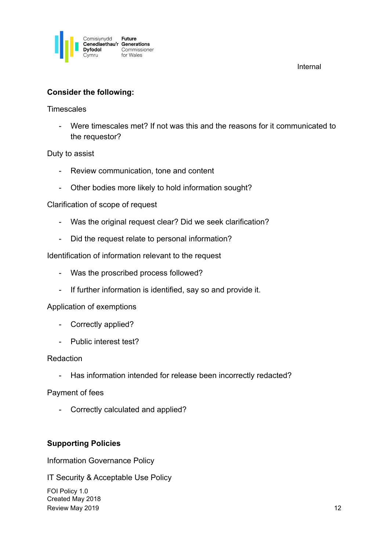

#### **Consider the following:**

**Timescales** 

- Were timescales met? If not was this and the reasons for it communicated to the requestor?

Duty to assist

- Review communication, tone and content
- Other bodies more likely to hold information sought?

Clarification of scope of request

- Was the original request clear? Did we seek clarification?
- Did the request relate to personal information?

Identification of information relevant to the request

- Was the proscribed process followed?
- If further information is identified, say so and provide it.

Application of exemptions

- Correctly applied?
- Public interest test?

#### Redaction

- Has information intended for release been incorrectly redacted?

Payment of fees

- Correctly calculated and applied?

#### **Supporting Policies**

Information Governance Policy

IT Security & Acceptable Use Policy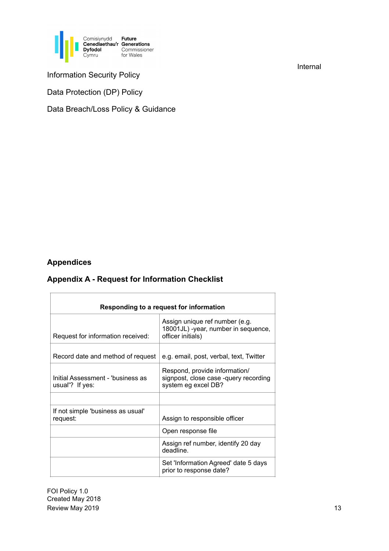

Information Security Policy

Data Protection (DP) Policy

Data Breach/Loss Policy & Guidance

### **Appendices**

### **Appendix A - Request for Information Checklist**

| Responding to a request for information              |                                                                                               |
|------------------------------------------------------|-----------------------------------------------------------------------------------------------|
| Request for information received:                    | Assign unique ref number (e.g.<br>18001JL) -year, number in sequence,<br>officer initials)    |
| Record date and method of request                    | e.g. email, post, verbal, text, Twitter                                                       |
| Initial Assessment - 'business as<br>usual"? If yes: | Respond, provide information/<br>signpost, close case -query recording<br>system eg excel DB? |
|                                                      |                                                                                               |
| If not simple 'business as usual'<br>request:        | Assign to responsible officer                                                                 |
|                                                      | Open response file                                                                            |
|                                                      | Assign ref number, identify 20 day<br>deadline.                                               |
|                                                      | Set 'Information Agreed' date 5 days<br>prior to response date?                               |

FOI Policy 1.0 Created May 2018 Review May 2019 13

Internal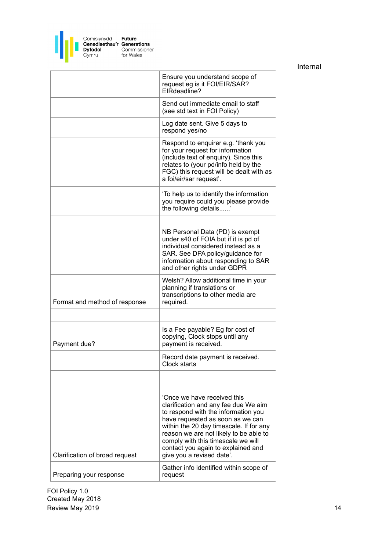

|                                | Ensure you understand scope of<br>request eg is it FOI/EIR/SAR?<br>EIRdeadline?                                                                                                                                                                                                                                                              |
|--------------------------------|----------------------------------------------------------------------------------------------------------------------------------------------------------------------------------------------------------------------------------------------------------------------------------------------------------------------------------------------|
|                                | Send out immediate email to staff<br>(see std text in FOI Policy)                                                                                                                                                                                                                                                                            |
|                                | Log date sent. Give 5 days to<br>respond yes/no                                                                                                                                                                                                                                                                                              |
|                                | Respond to enquirer e.g. 'thank you<br>for your request for information<br>(include text of enquiry). Since this<br>relates to (your pd/info held by the<br>FGC) this request will be dealt with as<br>a foi/eir/sar request'.                                                                                                               |
|                                | 'To help us to identify the information<br>you require could you please provide<br>the following details                                                                                                                                                                                                                                     |
|                                | NB Personal Data (PD) is exempt<br>under s40 of FOIA but if it is pd of<br>individual considered instead as a<br>SAR. See DPA policy/guidance for<br>information about responding to SAR<br>and other rights under GDPR                                                                                                                      |
| Format and method of response  | Welsh? Allow additional time in your<br>planning if translations or<br>transcriptions to other media are<br>required.                                                                                                                                                                                                                        |
|                                |                                                                                                                                                                                                                                                                                                                                              |
| Payment due?                   | Is a Fee payable? Eg for cost of<br>copying, Clock stops until any<br>payment is received.                                                                                                                                                                                                                                                   |
|                                | Record date payment is received.<br>Clock starts                                                                                                                                                                                                                                                                                             |
|                                |                                                                                                                                                                                                                                                                                                                                              |
| Clarification of broad request | 'Once we have received this<br>clarification and any fee due We aim<br>to respond with the information you<br>have requested as soon as we can<br>within the 20 day timescale. If for any<br>reason we are not likely to be able to<br>comply with this timescale we will<br>contact you again to explained and<br>give you a revised date'. |
| Preparing your response        | Gather info identified within scope of<br>request                                                                                                                                                                                                                                                                                            |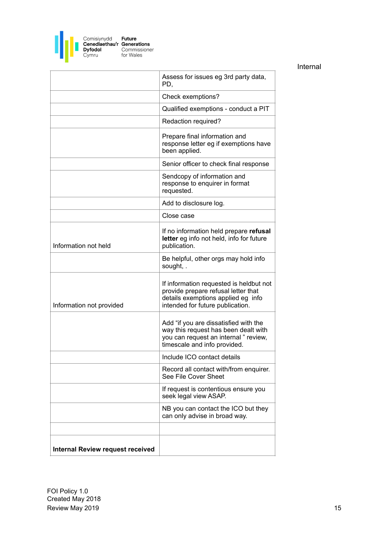

|                                         | Assess for issues eg 3rd party data,<br>PD.                                                                                                              |
|-----------------------------------------|----------------------------------------------------------------------------------------------------------------------------------------------------------|
|                                         | Check exemptions?                                                                                                                                        |
|                                         | Qualified exemptions - conduct a PIT                                                                                                                     |
|                                         | Redaction required?                                                                                                                                      |
|                                         | Prepare final information and<br>response letter eg if exemptions have<br>been applied.                                                                  |
|                                         | Senior officer to check final response                                                                                                                   |
|                                         | Sendcopy of information and<br>response to enquirer in format<br>requested.                                                                              |
|                                         | Add to disclosure log.                                                                                                                                   |
|                                         | Close case                                                                                                                                               |
| Information not held                    | If no information held prepare refusal<br>letter eg info not held, info for future<br>publication.                                                       |
|                                         | Be helpful, other orgs may hold info<br>sought, .                                                                                                        |
| Information not provided                | If information requested is heldbut not<br>provide prepare refusal letter that<br>details exemptions applied eg info<br>intended for future publication. |
|                                         | Add "if you are dissatisfied with the<br>way this request has been dealt with<br>you can request an internal " review,<br>timescale and info provided.   |
|                                         | Include ICO contact details                                                                                                                              |
|                                         | Record all contact with/from enquirer.<br>See File Cover Sheet                                                                                           |
|                                         | If request is contentious ensure you<br>seek legal view ASAP.                                                                                            |
|                                         | NB you can contact the ICO but they<br>can only advise in broad way.                                                                                     |
|                                         |                                                                                                                                                          |
| <b>Internal Review request received</b> |                                                                                                                                                          |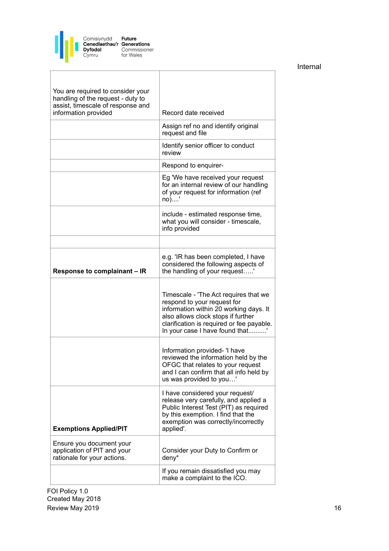

| You are required to consider your<br>handling of the request - duty to<br>assist, timescale of response and<br>information provided | Record date received                                                                                                                                                                                                                |
|-------------------------------------------------------------------------------------------------------------------------------------|-------------------------------------------------------------------------------------------------------------------------------------------------------------------------------------------------------------------------------------|
|                                                                                                                                     | Assign ref no and identify original<br>request and file                                                                                                                                                                             |
|                                                                                                                                     | Identify senior officer to conduct<br>review                                                                                                                                                                                        |
|                                                                                                                                     | Respond to enquirer-                                                                                                                                                                                                                |
|                                                                                                                                     | Eg 'We have received your request<br>for an internal review of our handling<br>of your request for information (ref<br>no)'                                                                                                         |
|                                                                                                                                     | include - estimated response time,<br>what you will consider - timescale,<br>info provided                                                                                                                                          |
|                                                                                                                                     |                                                                                                                                                                                                                                     |
| Response to complainant - IR                                                                                                        | e.g. 'IR has been completed, I have<br>considered the following aspects of<br>the handling of your request'                                                                                                                         |
|                                                                                                                                     | Timescale - 'The Act requires that we<br>respond to your request for<br>information within 20 working days. It<br>also allows clock stops if further<br>clarification is required or fee payable.<br>In your case I have found that |
|                                                                                                                                     | Information provided- 'I have<br>reviewed the information held by the<br>OFGC that relates to your request<br>and I can confirm that all info held by<br>us was provided to you'                                                    |
| <b>Exemptions Applied/PIT</b>                                                                                                       | I have considered your request/<br>release very carefully, and applied a<br>Public Interest Test (PIT) as required<br>by this exemption. I find that the<br>exemption was correctly/incorrectly<br>applied'.                        |
| Ensure you document your<br>application of PIT and your<br>rationale for your actions.                                              | Consider your Duty to Confirm or<br>deny*                                                                                                                                                                                           |
|                                                                                                                                     | If you remain dissatisfied you may<br>make a complaint to the ICO.                                                                                                                                                                  |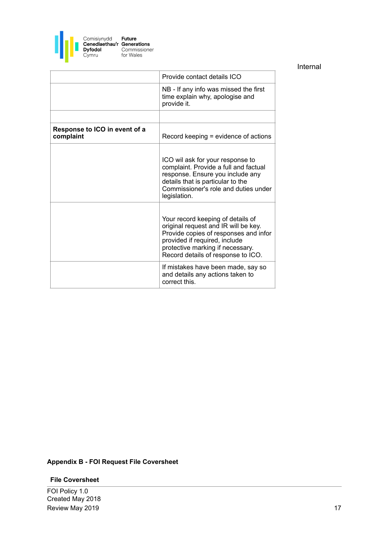

|                                            | Provide contact details ICO                                                                                                                                                                                                   |
|--------------------------------------------|-------------------------------------------------------------------------------------------------------------------------------------------------------------------------------------------------------------------------------|
|                                            | NB - If any info was missed the first<br>time explain why, apologise and<br>provide it.                                                                                                                                       |
|                                            |                                                                                                                                                                                                                               |
| Response to ICO in event of a<br>complaint | Record keeping = evidence of actions                                                                                                                                                                                          |
|                                            | ICO wil ask for your response to<br>complaint. Provide a full and factual<br>response. Ensure you include any<br>details that is particular to the<br>Commissioner's role and duties under<br>legislation.                    |
|                                            | Your record keeping of details of<br>original request and IR will be key.<br>Provide copies of responses and infor<br>provided if required, include<br>protective marking if necessary.<br>Record details of response to ICO. |
|                                            | If mistakes have been made, say so<br>and details any actions taken to<br>correct this.                                                                                                                                       |
|                                            |                                                                                                                                                                                                                               |

#### **Appendix B - FOI Request File Coversheet**

#### **File Coversheet**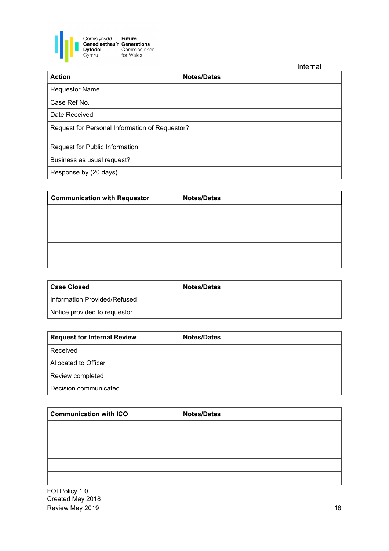

|                                                | Internal           |
|------------------------------------------------|--------------------|
| <b>Action</b>                                  | <b>Notes/Dates</b> |
| <b>Requestor Name</b>                          |                    |
| Case Ref No.                                   |                    |
| Date Received                                  |                    |
| Request for Personal Information of Requestor? |                    |
| Request for Public Information                 |                    |
| Business as usual request?                     |                    |
| Response by (20 days)                          |                    |

| <b>Communication with Requestor</b> | <b>Notes/Dates</b> |
|-------------------------------------|--------------------|
|                                     |                    |
|                                     |                    |
|                                     |                    |
|                                     |                    |
|                                     |                    |

| <b>∣ Case Closed</b>         | <b>Notes/Dates</b> |
|------------------------------|--------------------|
| Information Provided/Refused |                    |
| Notice provided to requestor |                    |

| <b>Request for Internal Review</b> | <b>Notes/Dates</b> |
|------------------------------------|--------------------|
| Received                           |                    |
| Allocated to Officer               |                    |
| Review completed                   |                    |
| Decision communicated              |                    |

| <b>Communication with ICO</b> | <b>Notes/Dates</b> |
|-------------------------------|--------------------|
|                               |                    |
|                               |                    |
|                               |                    |
|                               |                    |
|                               |                    |